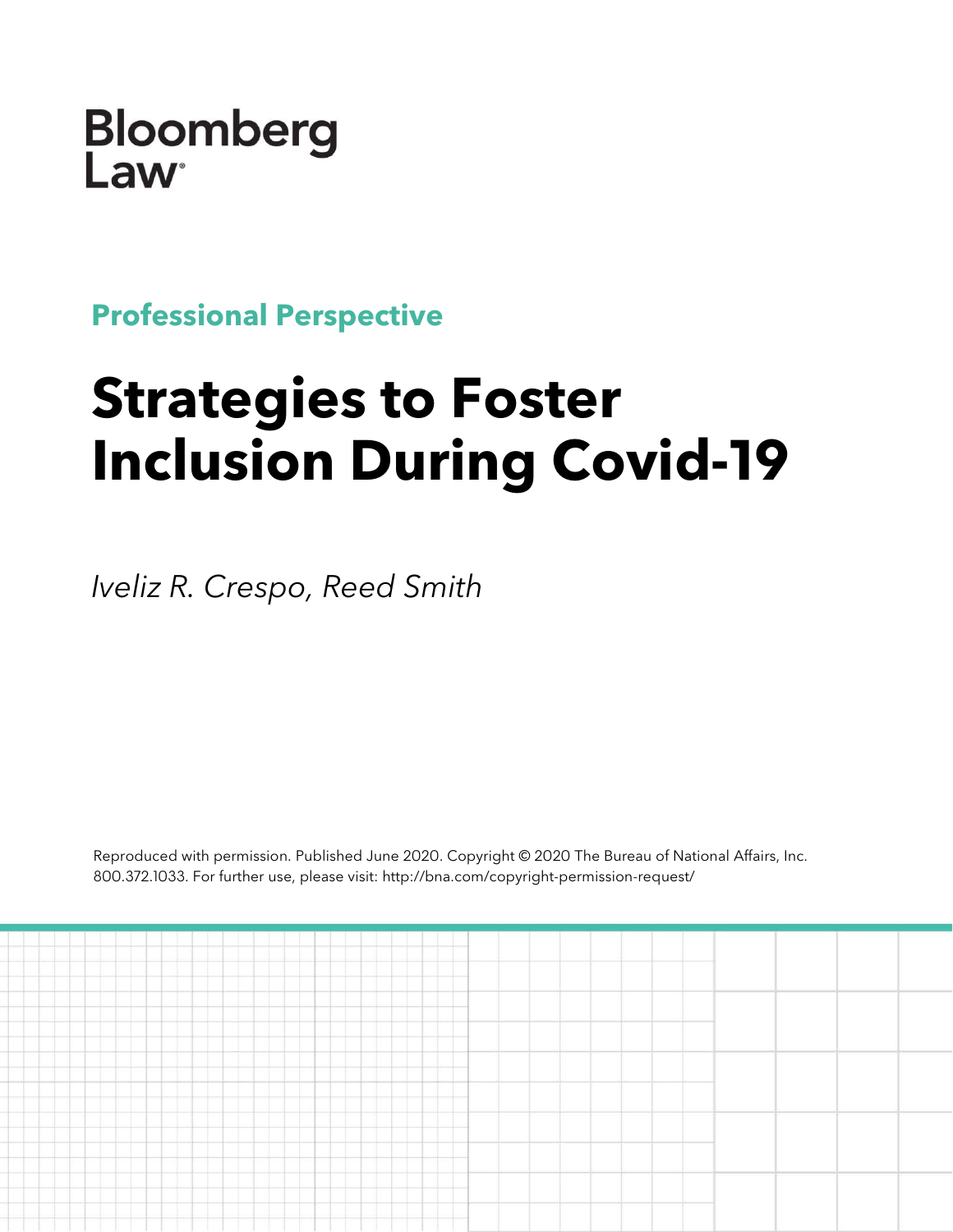Bloomberg Law

**Professional Perspective**

# **Strategies to Foster Inclusion During Covid-19**

*Iveliz R. Crespo, Reed Smith*

Reproduced with permission. Published June 2020. Copyright © 2020 The Bureau of National Affairs, Inc. 800.372.1033. For further use, please visit: http://bna.com/copyright-permission-request/

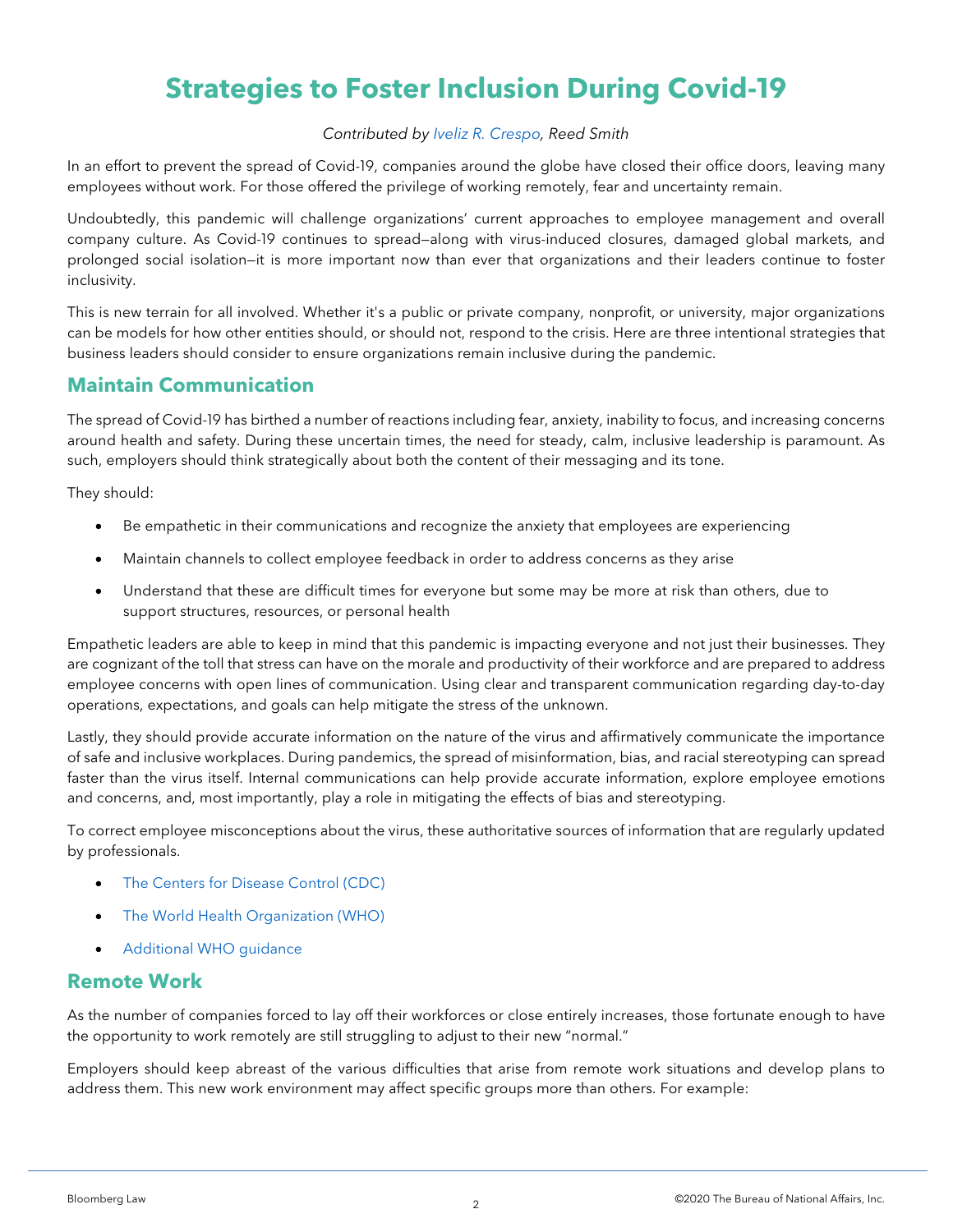# **Strategies to Foster Inclusion During Covid-19**

#### *Contributed by [Iveliz R. Crespo,](https://www.linkedin.com/in/iveliz-r-crespo-they-them-19223356/) Reed Smith*

In an effort to prevent the spread of Covid-19, companies around the globe have closed their office doors, leaving many employees without work. For those offered the privilege of working remotely, fear and uncertainty remain.

Undoubtedly, this pandemic will challenge organizations' current approaches to employee management and overall company culture. As Covid-19 continues to spread—along with virus-induced closures, damaged global markets, and prolonged social isolation—it is more important now than ever that organizations and their leaders continue to foster inclusivity.

This is new terrain for all involved. Whether it's a public or private company, nonprofit, or university, major organizations can be models for how other entities should, or should not, respond to the crisis. Here are three intentional strategies that business leaders should consider to ensure organizations remain inclusive during the pandemic.

### **Maintain Communication**

The spread of Covid-19 has birthed a number of reactions including fear, anxiety, inability to focus, and increasing concerns around health and safety. During these uncertain times, the need for steady, calm, inclusive leadership is paramount. As such, employers should think strategically about both the content of their messaging and its tone.

They should:

- Be empathetic in their communications and recognize the anxiety that employees are experiencing
- Maintain channels to collect employee feedback in order to address concerns as they arise
- Understand that these are difficult times for everyone but some may be more at risk than others, due to support structures, resources, or personal health

Empathetic leaders are able to keep in mind that this pandemic is impacting everyone and not just their businesses. They are cognizant of the toll that stress can have on the morale and productivity of their workforce and are prepared to address employee concerns with open lines of communication. Using clear and transparent communication regarding day-to-day operations, expectations, and goals can help mitigate the stress of the unknown.

Lastly, they should provide accurate information on the nature of the virus and affirmatively communicate the importance of safe and inclusive workplaces. During pandemics, the spread of misinformation, bias, and racial stereotyping can spread faster than the virus itself. Internal communications can help provide accurate information, explore employee emotions and concerns, and, most importantly, play a role in mitigating the effects of bias and stereotyping.

To correct employee misconceptions about the virus, these authoritative sources of information that are regularly updated by professionals.

- [The Centers for Disease Control \(CDC\)](https://www.cdc.gov/coronavirus/2019-ncov/summary.html)
- [The World Health Organization \(WHO\)](https://www.who.int/health-topics/coronavirus)
- [Additional WHO guidance](https://www.who.int/emergencies/diseases/novel-coronavirus-2019/advice-for-public/myth-busters)

#### **Remote Work**

As the number of companies forced to lay off their workforces or close entirely increases, those fortunate enough to have the opportunity to work remotely are still struggling to adjust to their new "normal."

Employers should keep abreast of the various difficulties that arise from remote work situations and develop plans to address them. This new work environment may affect specific groups more than others. For example: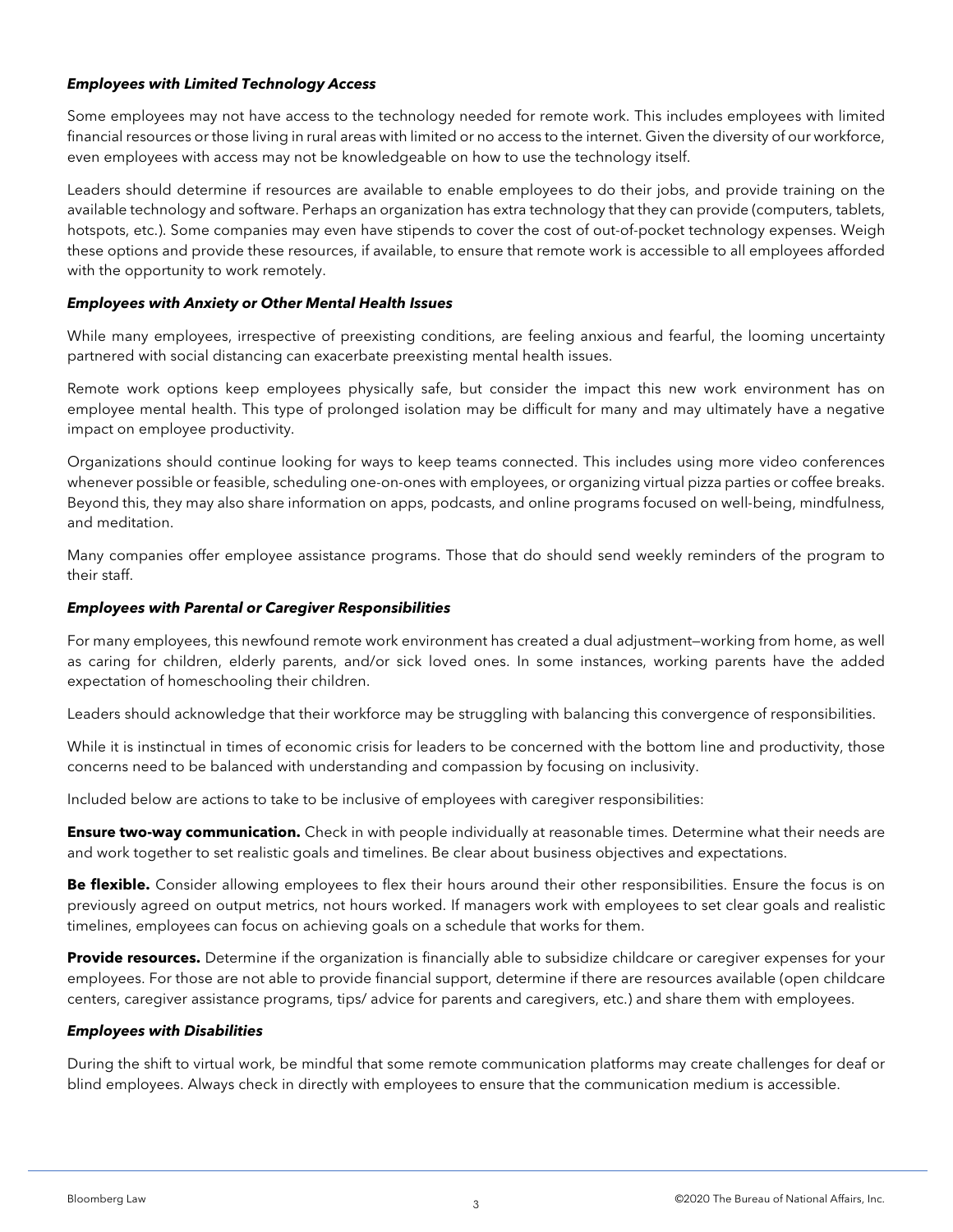#### *Employees with Limited Technology Access*

Some employees may not have access to the technology needed for remote work. This includes employees with limited financial resources or those living in rural areas with limited or no access to the internet. Given the diversity of our workforce, even employees with access may not be knowledgeable on how to use the technology itself.

Leaders should determine if resources are available to enable employees to do their jobs, and provide training on the available technology and software. Perhaps an organization has extra technology that they can provide (computers, tablets, hotspots, etc.). Some companies may even have stipends to cover the cost of out-of-pocket technology expenses. Weigh these options and provide these resources, if available, to ensure that remote work is accessible to all employees afforded with the opportunity to work remotely.

#### *Employees with Anxiety or Other Mental Health Issues*

While many employees, irrespective of preexisting conditions, are feeling anxious and fearful, the looming uncertainty partnered with social distancing can exacerbate preexisting mental health issues.

Remote work options keep employees physically safe, but consider the impact this new work environment has on employee mental health. This type of prolonged isolation may be difficult for many and may ultimately have a negative impact on employee productivity.

Organizations should continue looking for ways to keep teams connected. This includes using more video conferences whenever possible or feasible, scheduling one-on-ones with employees, or organizing virtual pizza parties or coffee breaks. Beyond this, they may also share information on apps, podcasts, and online programs focused on well-being, mindfulness, and meditation.

Many companies offer employee assistance programs. Those that do should send weekly reminders of the program to their staff.

#### *Employees with Parental or Caregiver Responsibilities*

For many employees, this newfound remote work environment has created a dual adjustment—working from home, as well as caring for children, elderly parents, and/or sick loved ones. In some instances, working parents have the added expectation of homeschooling their children.

Leaders should acknowledge that their workforce may be struggling with balancing this convergence of responsibilities.

While it is instinctual in times of economic crisis for leaders to be concerned with the bottom line and productivity, those concerns need to be balanced with understanding and compassion by focusing on inclusivity.

Included below are actions to take to be inclusive of employees with caregiver responsibilities:

**Ensure two-way communication.** Check in with people individually at reasonable times. Determine what their needs are and work together to set realistic goals and timelines. Be clear about business objectives and expectations.

**Be flexible.** Consider allowing employees to flex their hours around their other responsibilities. Ensure the focus is on previously agreed on output metrics, not hours worked. If managers work with employees to set clear goals and realistic timelines, employees can focus on achieving goals on a schedule that works for them.

**Provide resources.** Determine if the organization is financially able to subsidize childcare or caregiver expenses for your employees. For those are not able to provide financial support, determine if there are resources available (open childcare centers, caregiver assistance programs, tips/ advice for parents and caregivers, etc.) and share them with employees.

#### *Employees with Disabilities*

During the shift to virtual work, be mindful that some remote communication platforms may create challenges for deaf or blind employees. Always check in directly with employees to ensure that the communication medium is accessible.